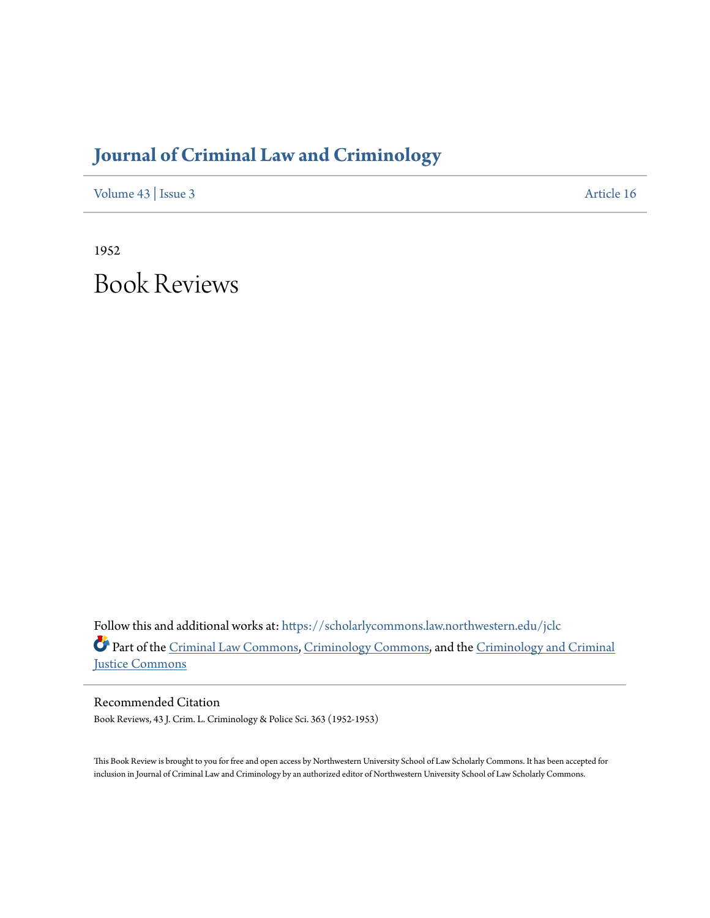## **[Journal of Criminal Law and Criminology](https://scholarlycommons.law.northwestern.edu/jclc?utm_source=scholarlycommons.law.northwestern.edu%2Fjclc%2Fvol43%2Fiss3%2F16&utm_medium=PDF&utm_campaign=PDFCoverPages)**

[Volume 43](https://scholarlycommons.law.northwestern.edu/jclc/vol43?utm_source=scholarlycommons.law.northwestern.edu%2Fjclc%2Fvol43%2Fiss3%2F16&utm_medium=PDF&utm_campaign=PDFCoverPages) | [Issue 3](https://scholarlycommons.law.northwestern.edu/jclc/vol43/iss3?utm_source=scholarlycommons.law.northwestern.edu%2Fjclc%2Fvol43%2Fiss3%2F16&utm_medium=PDF&utm_campaign=PDFCoverPages) [Article 16](https://scholarlycommons.law.northwestern.edu/jclc/vol43/iss3/16?utm_source=scholarlycommons.law.northwestern.edu%2Fjclc%2Fvol43%2Fiss3%2F16&utm_medium=PDF&utm_campaign=PDFCoverPages)

1952 Book Reviews

Follow this and additional works at: [https://scholarlycommons.law.northwestern.edu/jclc](https://scholarlycommons.law.northwestern.edu/jclc?utm_source=scholarlycommons.law.northwestern.edu%2Fjclc%2Fvol43%2Fiss3%2F16&utm_medium=PDF&utm_campaign=PDFCoverPages) Part of the [Criminal Law Commons](http://network.bepress.com/hgg/discipline/912?utm_source=scholarlycommons.law.northwestern.edu%2Fjclc%2Fvol43%2Fiss3%2F16&utm_medium=PDF&utm_campaign=PDFCoverPages), [Criminology Commons](http://network.bepress.com/hgg/discipline/417?utm_source=scholarlycommons.law.northwestern.edu%2Fjclc%2Fvol43%2Fiss3%2F16&utm_medium=PDF&utm_campaign=PDFCoverPages), and the [Criminology and Criminal](http://network.bepress.com/hgg/discipline/367?utm_source=scholarlycommons.law.northwestern.edu%2Fjclc%2Fvol43%2Fiss3%2F16&utm_medium=PDF&utm_campaign=PDFCoverPages) [Justice Commons](http://network.bepress.com/hgg/discipline/367?utm_source=scholarlycommons.law.northwestern.edu%2Fjclc%2Fvol43%2Fiss3%2F16&utm_medium=PDF&utm_campaign=PDFCoverPages)

Recommended Citation Book Reviews, 43 J. Crim. L. Criminology & Police Sci. 363 (1952-1953)

This Book Review is brought to you for free and open access by Northwestern University School of Law Scholarly Commons. It has been accepted for inclusion in Journal of Criminal Law and Criminology by an authorized editor of Northwestern University School of Law Scholarly Commons.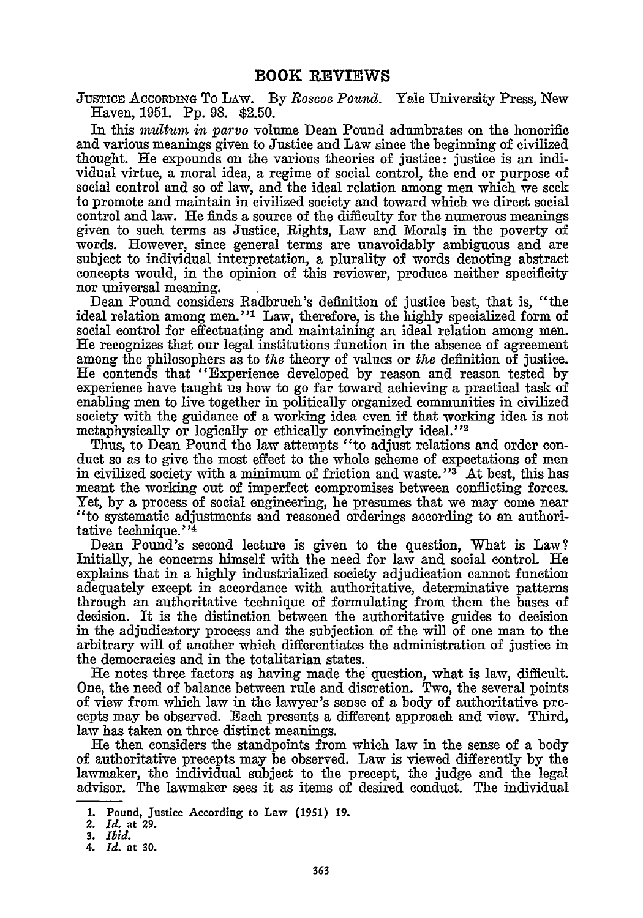**JUSTICE AcCORDING** To LAW. By *Roscoe Pound.* Yale University Press, New Haven, **1951. Pp.** 98. \$2.50.

In this *multum in parvo* volume Dean Pound adumbrates on the honorific and various meanings given to Justice and Law since the beginning of civilized thought. He expounds on the various theories of justice: justice is an individual virtue, a moral idea, a regime of social control, the end or purpose of social control and so of law, and the ideal relation among men which we seek to promote and maintain in civilized society and toward which we direct social control and law. He finds a source of the difficulty for the numerous meanings given to such terms as Justice, Rights, Law and Morals in the poverty of words. However, since general terms are unavoidably ambiguous and are subject to individual interpretation, a plurality of words denoting abstract concepts would, in the opinion of this reviewer, produce neither specificity nor universal meaning.

Dean Pound considers Radbruch's definition of justice best, that is, "the ideal relation among men."' Law, therefore, is the highly specialized form of social control for effectuating and maintaining an ideal relation among men. He recognizes that our legal institutions function in the absence of agreement among the philosophers as to *the* theory of values or *the* definition of justice. He contends that "Experience developed **by** reason and reason tested **by** experience have taught us how to go far toward achieving a practical task of enabling men to live together in politically organized communities in civilized society with the guidance of a working idea even if that working idea is not metaphysically or logically or ethically convincingly ideal."<sup>2</sup>

Thus, to Dean Pound the law attempts "to adjust relations and order conduct so as to give the most effect to the whole scheme of expectations of men in civilized society with a minimum of friction and waste. **" <sup>3</sup>**At best, this has meant the working out of imperfect compromises between conflicting forces. Yet, **by** a process of social engineering, he presumes that we may come near "to systematic adjustments and reasoned orderings according to an authoritative technique.' **'4**

Dean Pound's second lecture is given to the question, What is Law? Initially, he concerns himself with the need for law and social control. He explains that in a highly industrialized society adjudication cannot function adequately except in accordance with authoritative, determinative patterns through an authoritative technique of formulating from them the bases of decision. It is the distinction between the authoritative guides to decision in the adjudicatory process and the subjection of the will of one man to the arbitrary will of another which differentiates the administration of justice in the democracies and in the totalitarian states.

He notes three factors as having made the question, what is law, difficult. One, the need of balance between rule and discretion. Two, the several points of view from which law in the lawyer's sense of a body of authoritative precepts may be observed. Each presents a different approach and view. Third, law has taken on three distinct meanings.

He then considers the standpoints from which law in the sense of a body of authoritative precepts may be observed. Law is viewed differently by the lawmaker, the individual subject to the precept, the judge and the legal advisor. The lawmaker sees it as items of desired conduct. The individual

**<sup>1.</sup>** Pound, Justice According to **Law (1951) 19.**

<sup>2.</sup> *Id.* at **29.**

*<sup>3.</sup> Ibid.*

*<sup>4.</sup> Id.* **at 30.**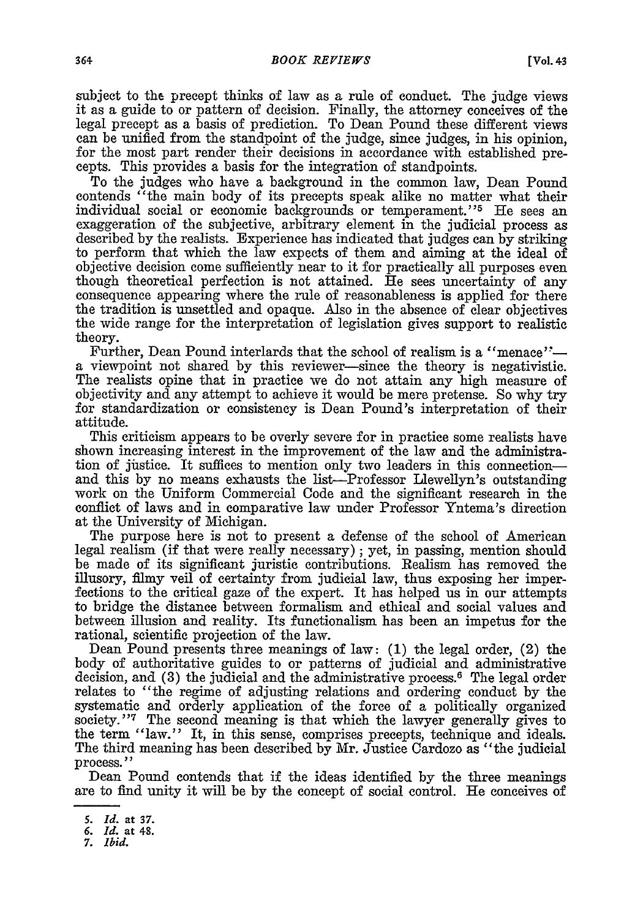subject to the precept thinks of law as a rule of conduct. The judge views it as a guide to or pattern of decision. Finally, the attorney conceives of the legal precept as a basis of prediction. To Dean Pound these different views can be unified from the standpoint of the judge, since judges, in his opinion, for the most part render their decisions in accordance with established precepts. This provides a basis for the integration of standpoints.

To the judges who have a background in the common law, Dean Pound contends "the main body of its precepts speak alike no matter what their individual social or economic backgrounds or temperament."<sup>5</sup> He sees an exaggeration of the subjective, arbitrary element in the judicial process as described by the realists. Experience has indicated that judges can by striking to perform that which the law expects of them and aiming at the ideal of objective decision come sufficiently near to it for practically all purposes even though theoretical perfection is not attained. He sees uncertainty of any consequence appearing where the rule of reasonableness is applied for there the tradition is unsettled and opaque. Also in the absence of clear objectives the wide range for the interpretation of legislation gives support to realistic theory.

Further, Dean Pound interlards that the school of realism is a "menace"a viewpoint not shared by this reviewer-since the theory is negativistic. The realists opine that in practice we do not attain any high measure of objectivity and any attempt to achieve it would be mere pretense. So why try for standardization or consistency is Dean Pound's interpretation of their attitude.

This criticism appears to be overly severe for in practice some realists have shown increasing interest in the improvement of the law and the administration of justice. It suffices to mention only two leaders in this connectionand this by no means exhausts the list-Professor Llewellyn's outstanding work on the Uniform Commercial Code and the significant research in the conflict of laws and in comparative law under Professor Yntema's direction at the University of Michigan.

The purpose here is not to present a defense of the school of American legal realism (if that were really necessary) **;** yet, in passing, mention should be made of its significant juristic contributions. Realism has removed the illusory, filmy veil of certainty from judicial law, thus exposing her imperfections to the critical gaze of the expert. It has helped us in our attempts to bridge the distance between formalism and ethical and social values and between illusion and reality. Its functionalism has been an impetus for the rational, scientific projection of the law.

Dean Pound presents three meanings of law: (1) the legal order, (2) the body of authoritative guides to or patterns of judicial and administrative decision, and (3) the judicial and the administrative process.6 The legal order relates to "the regime of adjusting relations and ordering conduct by the systematic and orderly application of the force of a politically organized society.'' The second meaning is that which the lawyer generally gives to the term "law." It, in this sense, comprises precepts, technique and ideals. The third meaning has been described by Mr. Justice Cardozo as "the judicial process. **"** Dean Pound contends that if the ideas identified by the three meanings

are to find unity it will be by the concept of social control. He conceives of

*<sup>5.</sup> Id.* **at 37.**

*<sup>6.</sup> Id.* **at 48.**

*<sup>7.</sup> Ibid.*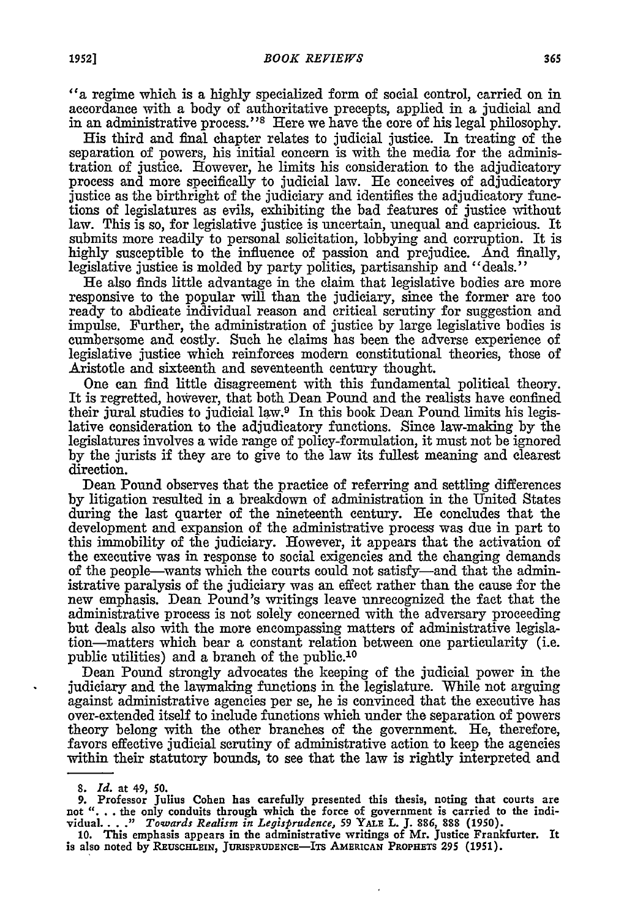*"a* regime which is a highly specialized form of social control, carried on in accordance with a body of authoritative precepts, applied in a judicial and in an administrative process."<sup>8</sup> Here we have the core of his legal philosophy.

His third and final chapter relates to judicial justice. In treating of the separation of powers, his initial concern is with the media for the administration of justice. However, he limits his consideration to the adjudicatory process and more specifically to judicial law. He conceives of adjudicatory justice as the birthright of the judiciary and identifies the adjudicatory functions of legislatures as evils, exhibiting the bad features of justice without law. This is so, for legislative justice is uncertain, unequal and capricious. It submits more readily to personal solicitation, lobbying and corruption. It is highly susceptible to the influence of passion and prejudice. And finally, legislative justice is molded by party politics, partisanship and "deals."

He also finds little advantage in the claim that legislative bodies are more responsive to the popular will than the judiciary, since the former are too ready to abdicate individual reason and critical scrutiny for suggestion and impulse. Further, the administration of justice by large legislative bodies is cumbersome and costly. Such he claims has been the adverse experience of legislative justice which reinforces modern constitutional theories, those of Aristotle and sixteenth and seventeenth century thought.

One can find little disagreement with this fundamental political theory. It is regretted, however, that both Dean Pound and the realists have confined their jural studies to judicial law.<sup>9</sup> In this book Dean Pound limits his legislative consideration to the adjudicatory functions. Since law-making by the legislatures involves a wide range of policy-formulation, it must not be ignored by the jurists if they are to give to the law its fullest meaning and clearest direction.

Dean Pound observes that the practice of referring and settling differences by litigation resulted in a breakdown of administration in the United States during the last quarter of the nineteenth century. He concludes that the development and expansion of the administrative process was due in part to this immobility of the judiciary. However, it appears that the activation of the executive was in response to social exigencies and the changing demands of the people-wants which the courts could not satisfy-and that the administrative paralysis of the judiciary was an effect rather than the cause for the new emphasis. Dean Pound's writings leave unrecognized the fact that the administrative process is not solely concerned with the adversary proceeding but deals also with the more encompassing matters of administrative legislation-matters which bear a constant relation between one particularity (i.e. public utilities) and a branch of the public.10

Dean Pound strongly advocates the keeping of the judicial power in the judiciary and the lawmaking functions in the legislature. While not arguing against administrative agencies per se, he is convinced that the executive has over-extended itself to include functions which under the separation of powers theory belong with the other branches of the government. He, therefore, favors effective judicial scrutiny of administrative action to keep the agencies within their statutory bounds, to see that the law is rightly interpreted and

**<sup>8.</sup>** *Id.* at 49, **50.**

**<sup>9.</sup> Professor Julius Cohen has carefully presented this thesis, noting that courts are not ". . . the only conduits through which the force of government is carried to the individual..** . **."** *Towards Realism in Legisprudence,* **59 YALE L. J. 886, 888 (1950).**

**<sup>10.</sup>** This emphasis **appears in** the administrative writings **of Mr.** Justice Frankfurter. It **is also noted by REUSCHLEIN, JURiSPRUDENcE-ITs AMERICAN** PROPHETS **295 (1951).**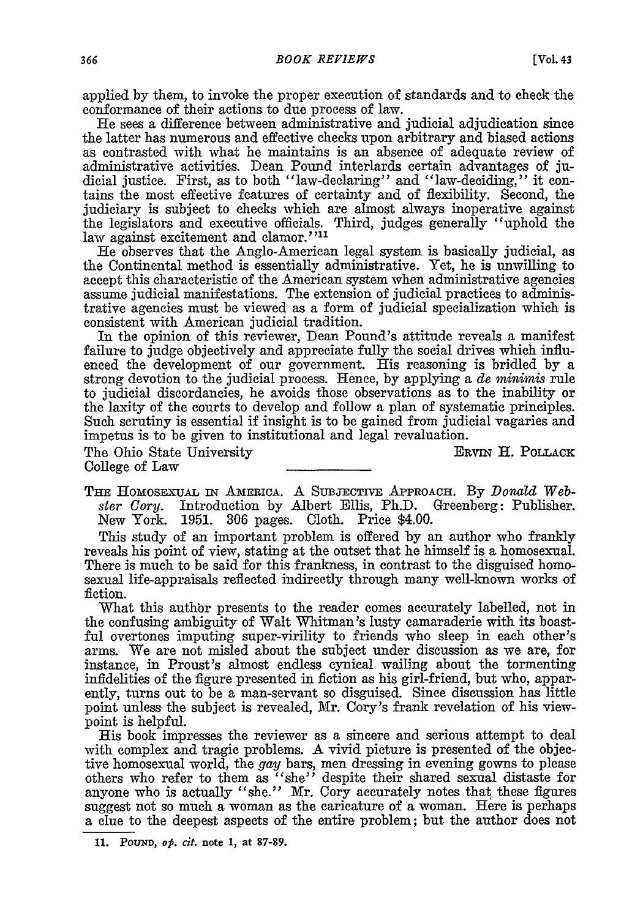applied by them, to invoke the proper execution of standards and to cheek the conformance of their actions to due process of law.

He sees a difference between administrative and judicial adjudication since the latter has numerous and effective checks upon arbitrary and biased actions as contrasted with what he maintains is an absence of adequate review of administrative activities. Dean Pound interlards certain advantages of judicial justice. First, as to both "law-declaring" and "law-deciding," it contains the most effective features of certainty and of flexibility. Second, the judiciary is subject to checks which are almost always inoperative against the legislators and executive officials. Third, judges generally "uphold the law against excitement and clamor."<sup>11</sup>

He observes that the Anglo-American legal system is basically judicial, as the Continental method is essentially administrative. Yet, he is unwilling to accept this characteristic of the American system when administrative agencies assume judicial manifestations. The extension of judicial practices to administrative agencies must be viewed as a form of judicial specialization which is consistent with American judicial tradition.

In the opinion of this reviewer, Dean Pound's attitude reveals a manifest failure to judge objectively and appreciate fully the social drives which influenced the development of our government. His reasoning is bridled by a strong devotion to the judicial process. Hence, by applying a *de minimis* rule to judicial discordancies, he avoids those observations as to the inability or the laxity of the courts to develop and follow a plan of systematic principles. Such scrutiny is essential if insight is to be gained from judicial vagaries and impetus is to be given to institutional and legal revaluation.

The Ohio State University **ERVIN H. POLLACK** College of Law

THE HoMosExuAL IN AmERICA. A SUBJECTIVE APPROACH. By *Donald Webster Cory.* Introduction by Albert Ellis, Ph.D. Greenberg: Publisher. New York. 1951. 306 pages. Cloth. Price \$4.00.

This study of an important problem is offered by an author who frankly reveals his point of view, stating at the outset that he himself is a homosexual. There is much to be said for this frankness, in contrast to the disguised homosexual life-appraisals reflected indirectly through many well-known works of fiction.

What this author presents to the reader comes accurately labelled, not in the confusing ambiguity of Walt Whitman's lusty camaraderie with its boastful overtones imputing super-virility to friends who sleep in each other's arms. We are not misled about the subject under discussion as we are, for instance, in Proust's almost endless cynical wailing about the tormenting infidelities of the figure presented in fiction as his girl-friend, but who, apparently, turns out to be a man-servant so disguised. Since discussion has little point unless- the subject is revealed, Mr. Cory's frank revelation of his viewpoint is helpful.

His book impresses the reviewer as a sincere and serious attempt to deal with complex and tragic problems. A vivid picture is presented of the objective homosexual world, the *gay* bars, men dressing in evening gowns to please others who refer to them as "she" despite their shared sexual distaste for anyone who is actually "she." Mr. Cory accurately notes that these figures suggest not so much a woman as the caricature of a woman. Here is perhaps a clue to the deepest aspects of the entire problem; but the author does not

**<sup>11.</sup> POUND, op.** *cit.* **note 1, at 87-89.**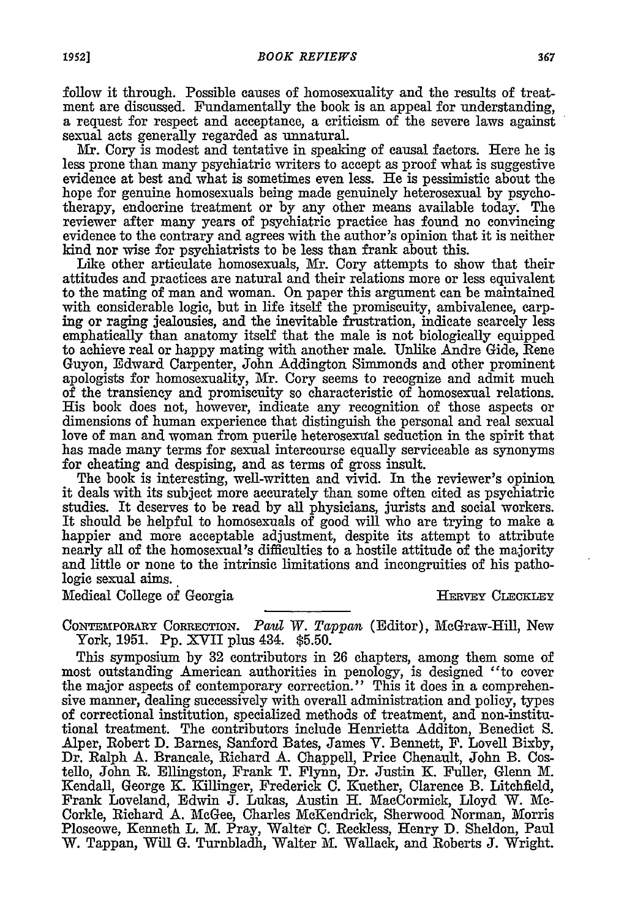follow it through. Possible causes of homosexuality and the results of treatment are discussed. Fundamentally the book is an appeal for understanding, a request for respect and acceptance, a criticism of the severe laws against sexual acts generally regarded as unnatural.

Mr. Cory is modest and tentative in speaking of causal factors. Here he is less prone than many psychiatric writers to accept as proof what is suggestive evidence at best and what is sometimes even less. He is pessimistic about the hope for genuine homosexuals being made genuinely heterosexual by psychotherapy, endocrine treatment or by any other means available today. The reviewer after many years of psychiatric practice has found no convincing evidence to the contrary and agrees with the author's opinion that it is neither kind nor wise for psychiatrists to be less than frank about this.

Like other articulate homosexuals, Mr. Cory attempts to show that their attitudes and practices are natural and their relations more or less equivalent to the mating of man and woman. On paper this argument can be maintained with considerable logic, but in life itself the promiscuity, ambivalence, carping or raging jealousies, and the inevitable frustration, indicate scarcely less emphatically than anatomy itself that the male is not biologically equipped to achieve real or happy mating with another male. Unlike Andre Gide, Rene Guyon, Edward Carpenter, John Addington Simmonds and other prominent apologists for homosexuality, Mr. Cory seems to recognize and admit much of the transiency and promiscuity so characteristic of homosexual relations. His book does not, however, indicate any recognition of those aspects or dimensions of human experience that distinguish the personal and real sexual love of man and woman from puerile heterosexual seduction in the spirit that has made many terms for sexual intercourse equally serviceable as synonyms for cheating and despising, and as terms of gross insult.

The book is interesting, well-written and vivid. In the reviewer's opinion it deals with its subject more accurately than some often cited as psychiatric studies. It deserves to be read by all physicians, jurists and social workers. It should be helpful to homosexuals of good will who are trying to make a happier and more acceptable adjustment, despite its attempt to attribute nearly all of the homosexual's difficulties to a hostile attitude of the majority and little or none to the intrinsic limitations and incongruities of his pathologic sexual aims.

Medical College of Georgia Text CLEACKLEY

**CONTEMPORARY** CORRECTION. *Paul W. Tappan* (Editor), McGraw-Hill, New York, 1951. Pp. XVII plus 434. \$5.50.

This symposium by 32 contributors in 26 chapters, among them some of most outstanding American authorities in penology, is designed "to cover the major aspects of contemporary correction." This it does in a comprehensive manner, dealing successively with overall administration and policy, types of correctional institution, specialized methods of treatment, and non-institutional treatment. The contributors include Henrietta Additon, Benedict S. Alper, Robert D. Barnes, Sanford Bates, James V. Bennett, F. Lovell Bixby, Dr. Ralph A. Brancale, Richard A. Chappell, Price Chenault, John B. Costello, John R. Ellingston, Frank T. Flynn, Dr. Justin **K.** Fuller, Glenn M. Kendall, George K. Killinger, Frederick C. Kuether, Clarence B. Litchfield, Frank Loveland, Edwin J. Lukas, Austin H. MacCormick, Lloyd W. Mc-Corkle, Richard A. McGee, Charles MeKendrick, Sherwood Norman, Morris Ploscowe, Kenneth L. M. Pray, Walter C. Reckless, Henry D. Sheldon, Paul W. Tappan, Will G. Turnbladh, Walter M. Wallack, and Roberts J. Wright.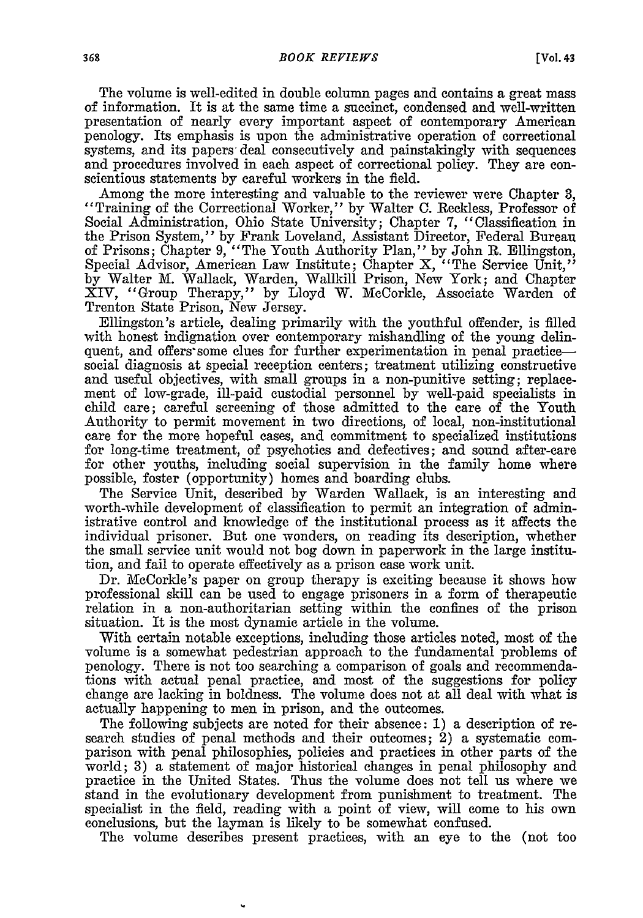The volume is well-edited in double column pages and contains a great mass of information. It is at the same time a succinct, condensed and well-written presentation of nearly every important aspect of contemporary American penology. Its emphasis is upon the administrative operation of correctional systems, and its papers deal consecutively and painstakingly with sequences and procedures involved in each aspect of correctional policy. They are conscientious statements by careful workers in the field.

Among the more interesting and valuable to the reviewer were Chapter 3, "Training of the Correctional Worker," by Walter C. Reckless, Professor of Social Administration, Ohio State University; Chapter 7, "Classification in the Prison System," by Frank Loveland, Assistant Director, Federal Bureau of Prisons; Chapter 9, "The Youth Authority Plan," by John R. Ellingston, Special Advisor, American Law Institute; Chapter X, "The Service Unit," by Walter M. Wallack, Warden, Wallkill Prison, New York; and Chapter XIV, "Group Therapy," by Lloyd W. McCorkle, Associate Warden of Trenton State Prison, New Jersey.

Ellingston's article, dealing primarily with the youthful offender, is filled with honest indignation over contemporary mishandling of the young delinquent, and offers some clues for further experimentation in penal practicesocial diagnosis at special reception centers; treatment utilizing constructive and useful objectives, with small groups in a non-punitive setting; replacement of low-grade, ill-paid custodial personnel by well-paid specialists in child care; careful screening of those admitted to the care of the Youth Authority to permit movement in two directions, of local, non-institutional care for the more hopeful cases, and commitment to specialized institutions for long-time treatment, of psychotics and defectives; and sound after-care for other youths, including social supervision in the family home where possible, foster (opportunity) homes and boarding clubs.

The Service Unit, described by Warden Wallack, is an interesting and worth-while development of classification to permit an integration of administrative control and knowledge of the institutional process as it affects the individual prisoner. But one wonders, on reading its description, whether the small service unit would not bog down in paperwork in the large institution, and fail to operate effectively as a prison case work unit.

Dr. McCorkle's paper on group therapy is exciting because it shows how professional skill can be used to engage prisoners in a form of therapeutic relation in a non-authoritarian setting within the confines of the prison situation. It is the most dynamic article in the volume.

With certain notable exceptions, including those articles noted, most of the volume is a somewhat pedestrian approach to the fundamental problems of penology. There is not too searching a comparison of goals and recommendations with actual penal practice, and most of the suggestions for policy change are lacking in boldness. The volume does not at all deal with what is actually happening to men in prison, and the outcomes.

The following subjects are noted for their absence: **1)** a description of research studies of penal methods and their outcomes; 2) a systematic comparison with penal philosophies, policies and practices in other parts of the world; 3) a statement of major historical changes in penal philosophy and practice in the United States. Thus the volume does not tell us where we stand in the evolutionary development from punishment to treatment. The specialist in the field, reading with a point of view, will come to his own conclusions, but the layman is likely to be somewhat confused.

The volume describes present practices, with an eye to the (not too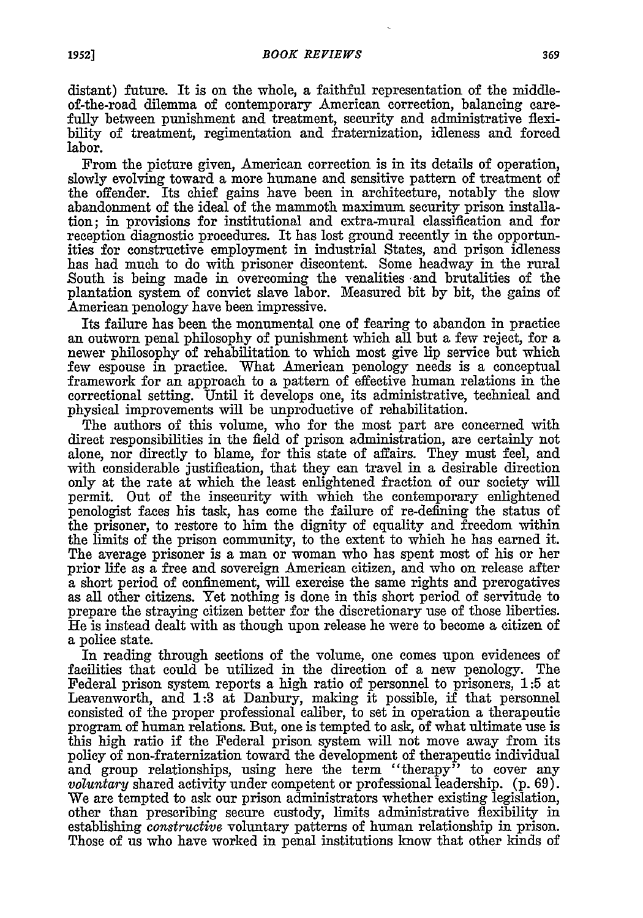distant) future. It is on the whole, a faithful representation of the middleof-the-road dilemma of contemporary American correction, balancing carefully between punishment and treatment, security and administrative flexibility of treatment, regimentation and fraternization, idleness and forced labor.

From the picture given, American correction is in its details of operation, slowly evolving toward a more humane and sensitive pattern of treatment of the offender. Its chief gains have been in architecture, notably the slow abandonment of the ideal of the mammoth maximum security prison installation; in provisions for institutional and extra-mural classification and for reception diagnostic procedures. It has lost ground recently in the opportunities for constructive employment in industrial States, and prison idleness has had much to do with prisoner discontent. Some headway in the rural South is being made in overcoming the venalities 'and brutalities of the plantation system of convict slave labor. Measured bit **by** bit, the gains of American penology have been impressive.

Its failure has been the monumental one of fearing to abandon in practice an outworn penal philosophy of punishment which all but a few reject, for a newer philosophy of rehabilitation to which most give lip service but which few espouse in practice. What American penology needs is a conceptual framework for an approach to a pattern of effective human relations in the correctional setting. Until it develops one, its administrative, technical and physical improvements will be unproductive of rehabilitation.

The authors of this volume, who for the most part are concerned with direct responsibilities in the field of prison administration, are certainly not alone, nor directly to blame, for this state of affairs. They must feel, and with considerable justification, that they can travel in a desirable direction only at the rate at which the least enlightened fraction of our society will permit. Out of the insecurity with which the contemporary enlightened penologist faces his task, has come the failure of re-defining the status of the prisoner, to restore to him the dignity of equality and freedom within the limits of the prison community, to the extent to which he has earned it. The average prisoner is a man or woman who has spent most of his or her prior life as a free and sovereign American citizen, and who on release after a short period of confinement, will exercise the same rights and prerogatives as all other citizens. Yet nothing is done in this short period of servitude to prepare the straying citizen better for the discretionary use of those liberties. He is instead dealt with as though upon release he were to become a citizen of a police state.

In reading through sections of the volume, one comes upon evidences of facilities that could be utilized in the direction of a new penology. The Federal prison system reports a high ratio of personnel to prisoners, **1:5** at Leavenworth, and **1:3** at Danbury, making it possible, if that personnel consisted of the proper professional caliber, to set in operation a therapeutic program of human relations. But, one is tempted to ask, of what ultimate use is this high ratio if the Federal prison system will not move away from its policy of non-fraternization toward the development of therapeutic individual and group relationships, using here the term "therapy" to cover any *voluntary* shared activity under competent or professional leadership. **(p. 69).** We are tempted to ask our prison administrators whether existing legislation, other than prescribing secure custody, limits administrative flexibility in establishing *constructive* voluntary patterns of human relationship in prison. Those of us who have worked in penal institutions know that other kinds of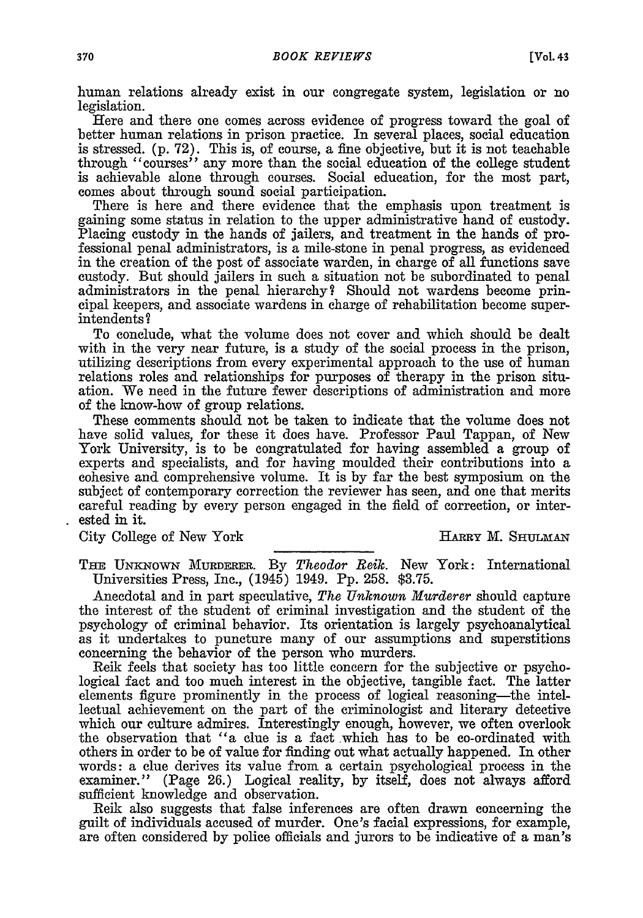human relations already exist in our congregate system, legislation or no legislation.

Here and there one comes across evidence of progress toward the goal of better human relations in prison practice. In several places, social education is stressed. (p. 72). This is, of course, a fine objective, but it is not teachable through "courses" any more than the social education of the college student is achievable alone through courses. Social education, for the most part, comes about through sound social participation.

There is here and there evidence that the emphasis upon treatment is gaining some status in relation to the upper administrative hand of custody. Placing custody in the hands of jailers, and treatment in the hands of professional penal administrators, is a mile-stone in penal progress, as evidenced in the creation of the post of associate warden, in charge of all functions save custody. But should jailers in such a situation not be subordinated to penal administrators in the penal hierarchy? Should not wardens become principal keepers, and associate wardens in charge of rehabilitation become superintendents?

To conclude, what the volume does not cover and which should be dealt with in the very near future, is a study of the social process in the prison, utilizing descriptions from every experimental approach to the use of human relations roles and relationships for purposes of therapy in the prison situation. We need in the future fewer descriptions of administration and more of the know-how of group relations.

These comments should not be taken to indicate that the volume does not have solid values, for these it does have. Professor Paul Tappan, of New York University, is to be congratulated for having assembled a group of experts and specialists, and for having moulded their contributions into a cohesive and comprehensive volume. It is by far the best symposium on the subject of contemporary correction the reviewer has seen, and one that merits careful reading by every person engaged in the field of correction, or interested in it.

City College of New York **HARRY** M. **SHUMAN**

**THE** UNKNOWN MURDERER. By *Theodor Reik.* New York: International Universities Press, Inc., (1945) 1949. Pp. 258. \$3.75.

Anecdotal and in part speculative, *The Unknown Murderer* should capture the interest of the student of criminal investigation and the student of the psychology of criminal behavior. Its orientation is largely psychoanalytical as it undertakes to puncture many of our assumptions and superstitions concerning the behavior of the person who murders.

Reik feels that society has too little concern for the subjective or psychological fact and too much interest in the objective, tangible fact. The latter elements figure prominently in the process of logical reasoning-the intellectual achievement on the part of the criminologist and literary detective which our culture admires. Interestingly enough, however, we often overlook the observation that "a clue is a fact which has to be co-ordinated with others in order to be of value for finding out what actually happened. In other words: a clue derives its value from a certain psychological process in the examiner." (Page 26.) Logical reality, by itself, does not always afford sufficient knowledge and observation.

Reik also suggests that false inferences are often drawn concerning the guilt of individuals accused of murder. One's facial expressions, for example, are often considered by police officials and jurors to be indicative of a man's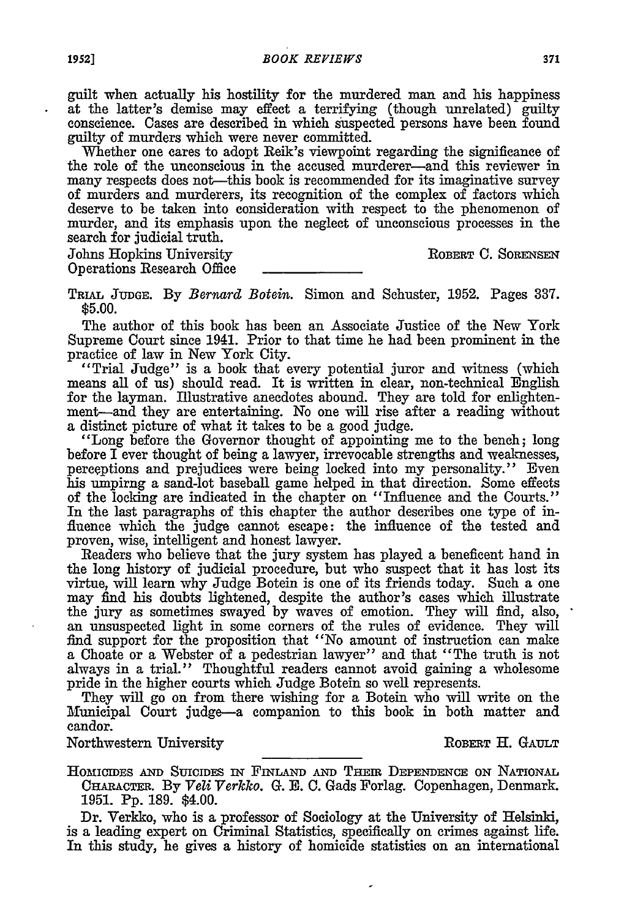*19521*

guilt when actually his hostility for the murdered man and his happiness at the latter's demise may effect a terrifying (though unrelated) guilty conscience. Cases are described in which suspected persons have been found guilty of murders which were never committed.

Whether one cares to adopt Reik's viewpoint regarding the significance of the role of the unconscious in the accused murderer-and this reviewer in many respects does not—this book is recommended for its imaginative survey of murders and murderers, its recognition of the complex of factors which deserve to be taken into consideration with respect to the phenomenon of murder, and its emphasis upon the neglect of unconscious processes in the search for judicial truth.

Johns Hopkins University **ROBERT** C. **SORENSEN** Operations Research Office

TRIAL **JUDGE. By** *Bernard Botein.* Simon and Schuster, **1952.** Pages **337.** \$5.00.

The author of this book has been an Associate Justice of the New York Supreme Court since 1941. Prior to that time he had been prominent in the practice of law in New York City.

"Trial Judge" is a book that every potential juror and witness (which means all of us) should read. It is written in clear, non-technical English for the layman. Illustrative anecdotes abound. They are told for enlightenment-and they are entertaining. No one will rise after a reading without a distinct picture of what it takes to be a good judge.

"Long before the Governor thought of appointing me to the bench; long before I ever thought of being a lawyer, irrevocable strengths and weaknesses, perceptions and prejudices were being locked into my personality." Even his umpirng a sand-lot baseball game helped in that direction. Some effects of the locking are indicated in the chapter on "Influence and the Courts." In the last paragraphs of this chapter the author describes one type of influence which the judge cannot escape: the influence of the tested and proven, wise, intelligent and honest lawyer.

Readers who believe that the jury system has played a beneficent hand in the long history of judicial procedure, but who suspect that it has lost its virtue, will learn why Judge Botein is one of its friends today. Such a one may find his doubts lightened, despite the author's cases which illustrate the jury as sometimes swayed **by** waves of emotion. They will **find,** also, an unsuspected light in some corners of the rules of evidence. They will find support for the proposition that "No amount of instruction can make a Choate or a Webster of a pedestrian lawyer" and that "The truth is not always in a trial." Thoughtful readers cannot avoid gaining a wholesome pride in the higher courts which Judge Botein so well represents.

They will go on from there wishing for a Botein who will write on the Municipal Court judge-a companion to this book in both matter and candor.

**Northwestern University <b>ROBERT H. GAULT** 

**HOMICIDES AND SUICIDES IN FINLAND AND THEIR DEPENDENCE ON NATIONAL** CHARACTER. By *Veli Verkko.* G. E. C. Gads Forlag. Copenhagen, Denmark. 1951. **Pp.** 189. \$4.00.

Dr. Verkko, who is a professor of Sociology at the University of Helsinki, is a leading expert on Criminal Statistics, specifically on crimes against life. **In** this study, he gives a history of homicide statistics on an international